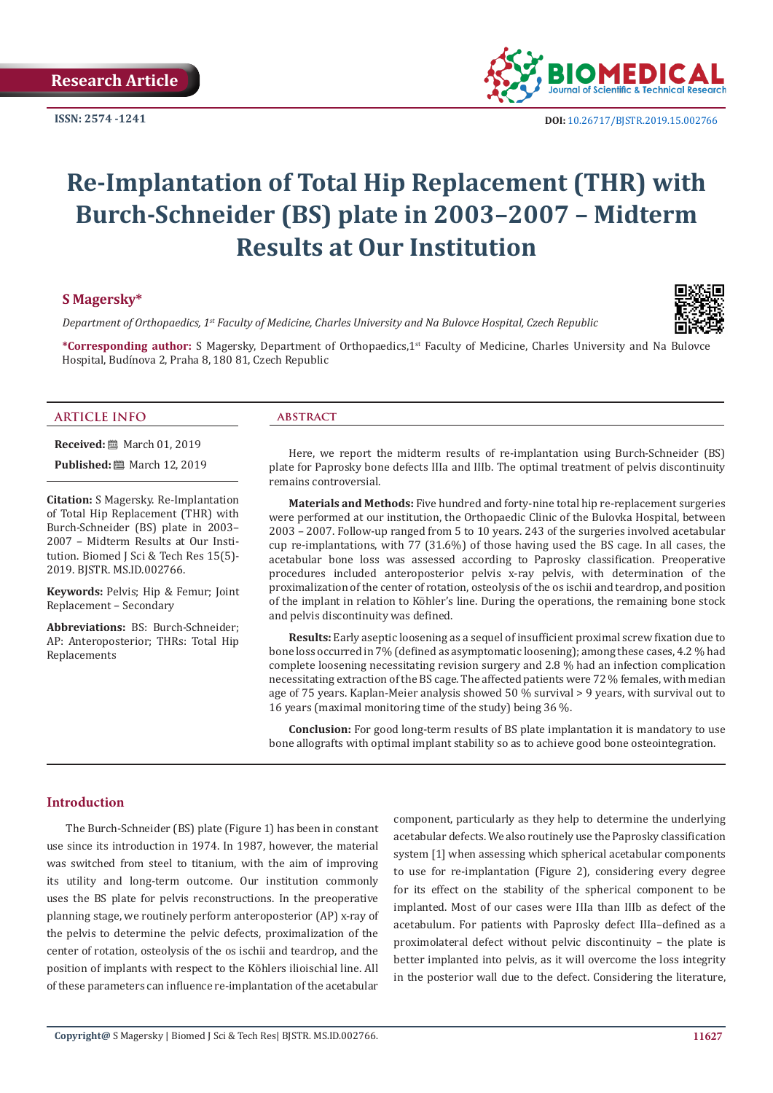**ISSN: 2574 -1241**



 **DOI:** [10.26717/BJSTR.2019.15.0027](http://dx.doi.org/10.26717/BJSTR.2019.15.002766)66

# **Re-Implantation of Total Hip Replacement (THR) with Burch-Schneider (BS) plate in 2003–2007 – Midterm Results at Our Institution**

### **S Magersky\***

*Department of Orthopaedics, 1st Faculty of Medicine, Charles University and Na Bulovce Hospital, Czech Republic* 

**\*Corresponding author:** S Magersky, Department of Orthopaedics,1st Faculty of Medicine, Charles University and Na Bulovce Hospital, Budínova 2, Praha 8, 180 81, Czech Republic

#### **ARTICLE INFO abstract**

**Received:** ■ March 01, 2019

**Published:** ■ March 12, 2019

**Citation:** S Magersky. Re-Implantation of Total Hip Replacement (THR) with Burch-Schneider (BS) plate in 2003– 2007 – Midterm Results at Our Institution. Biomed J Sci & Tech Res 15(5)- 2019. BJSTR. MS.ID.002766.

**Keywords:** Pelvis; Hip & Femur; Joint Replacement – Secondary

**Abbreviations:** BS: Burch-Schneider; AP: Anteroposterior; THRs: Total Hip Replacements

Here, we report the midterm results of re-implantation using Burch-Schneider (BS) plate for Paprosky bone defects IIIa and IIIb. The optimal treatment of pelvis discontinuity remains controversial.

**Materials and Methods:** Five hundred and forty-nine total hip re-replacement surgeries were performed at our institution, the Orthopaedic Clinic of the Bulovka Hospital, between 2003 – 2007. Follow-up ranged from 5 to 10 years. 243 of the surgeries involved acetabular cup re-implantations, with 77 (31.6%) of those having used the BS cage. In all cases, the acetabular bone loss was assessed according to Paprosky classification. Preoperative procedures included anteroposterior pelvis x-ray pelvis, with determination of the proximalization of the center of rotation, osteolysis of the os ischii and teardrop, and position of the implant in relation to Köhler's line. During the operations, the remaining bone stock and pelvis discontinuity was defined.

**Results:** Early aseptic loosening as a sequel of insufficient proximal screw fixation due to bone loss occurred in 7% (defined as asymptomatic loosening); among these cases, 4.2 % had complete loosening necessitating revision surgery and 2.8 % had an infection complication necessitating extraction of the BS cage. The affected patients were 72 % females, with median age of 75 years. Kaplan-Meier analysis showed 50 % survival > 9 years, with survival out to 16 years (maximal monitoring time of the study) being 36 %.

**Conclusion:** For good long-term results of BS plate implantation it is mandatory to use bone allografts with optimal implant stability so as to achieve good bone osteointegration.

### **Introduction**

The Burch-Schneider (BS) plate (Figure 1) has been in constant use since its introduction in 1974. In 1987, however, the material was switched from steel to titanium, with the aim of improving its utility and long-term outcome. Our institution commonly uses the BS plate for pelvis reconstructions. In the preoperative planning stage, we routinely perform anteroposterior (AP) x-ray of the pelvis to determine the pelvic defects, proximalization of the center of rotation, osteolysis of the os ischii and teardrop, and the position of implants with respect to the Köhlers ilioischial line. All of these parameters can influence re-implantation of the acetabular

component, particularly as they help to determine the underlying acetabular defects. We also routinely use the Paprosky classification system [1] when assessing which spherical acetabular components to use for re-implantation (Figure 2), considering every degree for its effect on the stability of the spherical component to be implanted. Most of our cases were IIIa than IIIb as defect of the acetabulum. For patients with Paprosky defect IIIa–defined as a proximolateral defect without pelvic discontinuity – the plate is better implanted into pelvis, as it will overcome the loss integrity in the posterior wall due to the defect. Considering the literature,



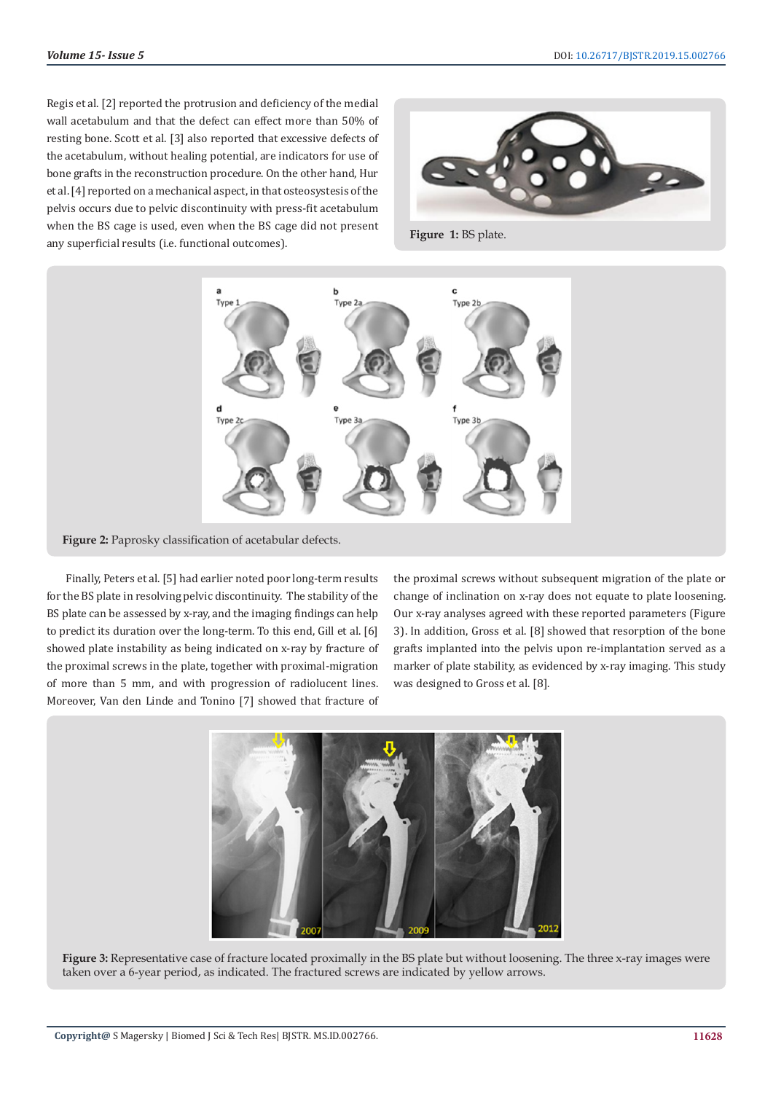Regis et al. [2] reported the protrusion and deficiency of the medial wall acetabulum and that the defect can effect more than 50% of resting bone. Scott et al. [3] also reported that excessive defects of the acetabulum, without healing potential, are indicators for use of bone grafts in the reconstruction procedure. On the other hand, Hur et al. [4] reported on a mechanical aspect, in that osteosystesis of the pelvis occurs due to pelvic discontinuity with press-fit acetabulum when the BS cage is used, even when the BS cage did not present when the B<sub>3</sub> cage is used, even when the B<sub>3</sub> cage the not present<br>any superficial results (i.e. functional outcomes).





**Figure 2:** Paprosky classification of acetabular defects.

Finally, Peters et al. [5] had earlier noted poor long-term results for the BS plate in resolving pelvic discontinuity. The stability of the BS plate can be assessed by x-ray, and the imaging findings can help to predict its duration over the long-term. To this end, Gill et al. [6] showed plate instability as being indicated on x-ray by fracture of the proximal screws in the plate, together with proximal-migration of more than 5 mm, and with progression of radiolucent lines. Moreover, Van den Linde and Tonino [7] showed that fracture of the proximal screws without subsequent migration of the plate or change of inclination on x-ray does not equate to plate loosening. Our x-ray analyses agreed with these reported parameters (Figure 3). In addition, Gross et al. [8] showed that resorption of the bone grafts implanted into the pelvis upon re-implantation served as a marker of plate stability, as evidenced by x-ray imaging. This study was designed to Gross et al. [8].



Figure 3: Representative case of fracture located proximally in the BS plate but without loosening. The three x-ray images were taken over a 6-year period, as indicated. The fractured screws are indicated by yellow arrows.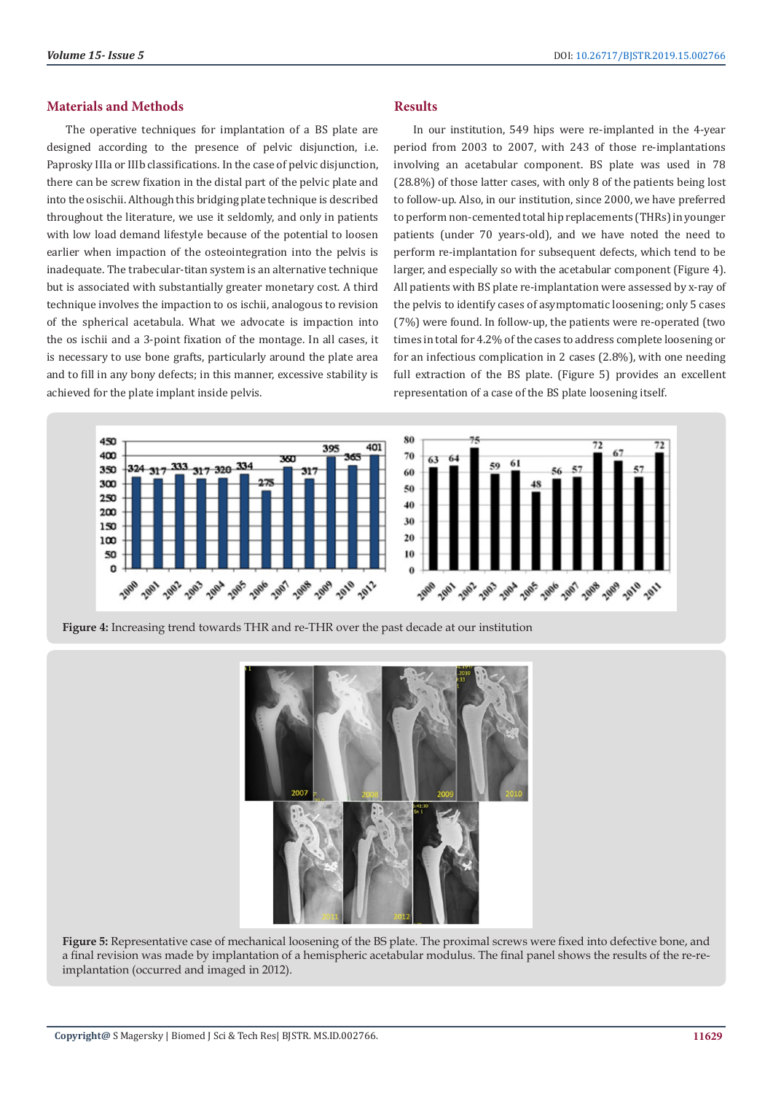#### **Materials and Methods**

The operative techniques for implantation of a BS plate are designed according to the presence of pelvic disjunction, i.e. Paprosky IIIa or IIIb classifications. In the case of pelvic disjunction, there can be screw fixation in the distal part of the pelvic plate and into the osischii. Although this bridging plate technique is described throughout the literature, we use it seldomly, and only in patients with low load demand lifestyle because of the potential to loosen earlier when impaction of the osteointegration into the pelvis is inadequate. The trabecular-titan system is an alternative technique but is associated with substantially greater monetary cost. A third technique involves the impaction to os ischii, analogous to revision of the spherical acetabula. What we advocate is impaction into the os ischii and a 3-point fixation of the montage. In all cases, it is necessary to use bone grafts, particularly around the plate area and to fill in any bony defects; in this manner, excessive stability is achieved for the plate implant inside pelvis.

## **Results**

In our institution, 549 hips were re-implanted in the 4-year period from 2003 to 2007, with 243 of those re-implantations involving an acetabular component. BS plate was used in 78 (28.8%) of those latter cases, with only 8 of the patients being lost to follow-up. Also, in our institution, since 2000, we have preferred to perform non-cemented total hip replacements (THRs) in younger patients (under 70 years-old), and we have noted the need to perform re-implantation for subsequent defects, which tend to be larger, and especially so with the acetabular component (Figure 4). All patients with BS plate re-implantation were assessed by x-ray of the pelvis to identify cases of asymptomatic loosening; only 5 cases (7%) were found. In follow-up, the patients were re-operated (two times in total for 4.2% of the cases to address complete loosening or for an infectious complication in 2 cases (2.8%), with one needing full extraction of the BS plate. (Figure 5) provides an excellent representation of a case of the BS plate loosening itself.



**Figure 4:** Increasing trend towards THR and re-THR over the past decade at our institution



**Figure 5:** Representative case of mechanical loosening of the BS plate. The proximal screws were fixed into defective bone, and a final revision was made by implantation of a hemispheric acetabular modulus. The final panel shows the results of the re-reimplantation (occurred and imaged in 2012).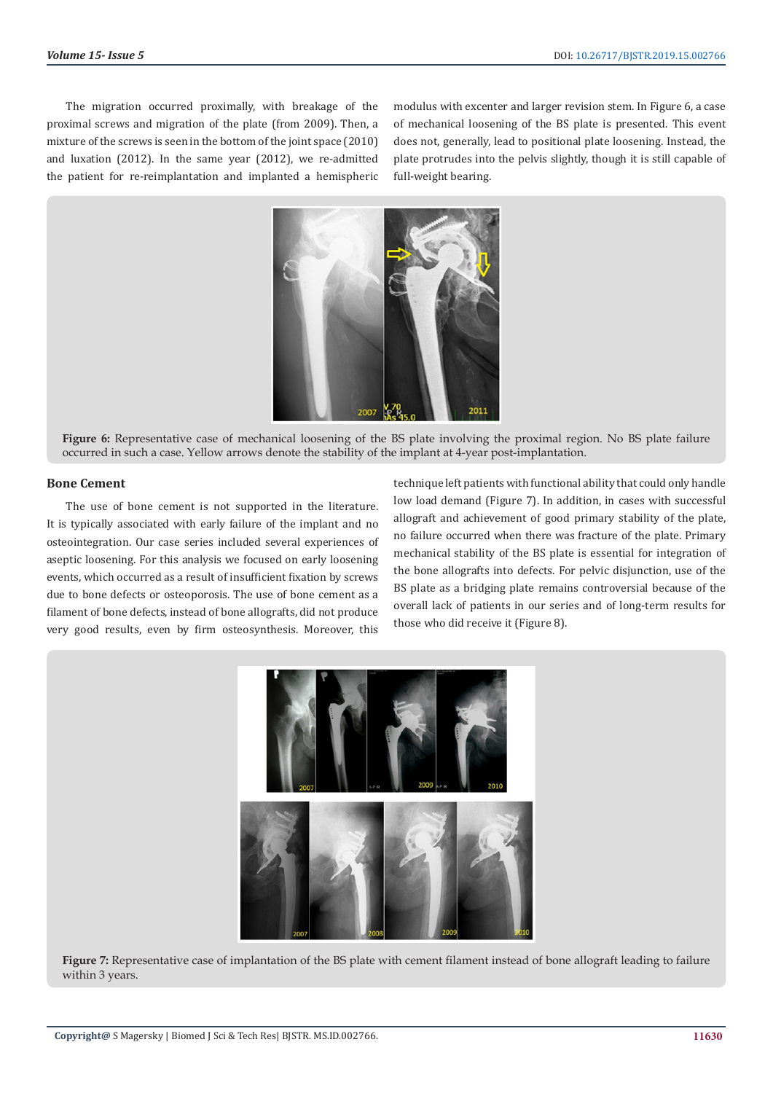The migration occurred proximally, with breakage of the proximal screws and migration of the plate (from 2009). Then, a mixture of the screws is seen in the bottom of the joint space (2010) and luxation (2012). In the same year (2012), we re-admitted the patient for re-reimplantation and implanted a hemispheric modulus with excenter and larger revision stem. In Figure 6, a case of mechanical loosening of the BS plate is presented. This event does not, generally, lead to positional plate loosening. Instead, the plate protrudes into the pelvis slightly, though it is still capable of full-weight bearing.



**Figure 6:** Representative case of mechanical loosening of the BS plate involving the proximal region. No BS plate failure occurred in such a case. Yellow arrows denote the stability of the implant at 4-year post-implantation.

#### **Bone Cement**

The use of bone cement is not supported in the literature. It is typically associated with early failure of the implant and no osteointegration. Our case series included several experiences of aseptic loosening. For this analysis we focused on early loosening events, which occurred as a result of insufficient fixation by screws due to bone defects or osteoporosis. The use of bone cement as a filament of bone defects, instead of bone allografts, did not produce very good results, even by firm osteosynthesis. Moreover, this

technique left patients with functional ability that could only handle low load demand (Figure 7). In addition, in cases with successful allograft and achievement of good primary stability of the plate, no failure occurred when there was fracture of the plate. Primary mechanical stability of the BS plate is essential for integration of the bone allografts into defects. For pelvic disjunction, use of the BS plate as a bridging plate remains controversial because of the overall lack of patients in our series and of long-term results for those who did receive it (Figure 8).



Figure 7: Representative case of implantation of the BS plate with cement filament instead of bone allograft leading to failure within 3 years.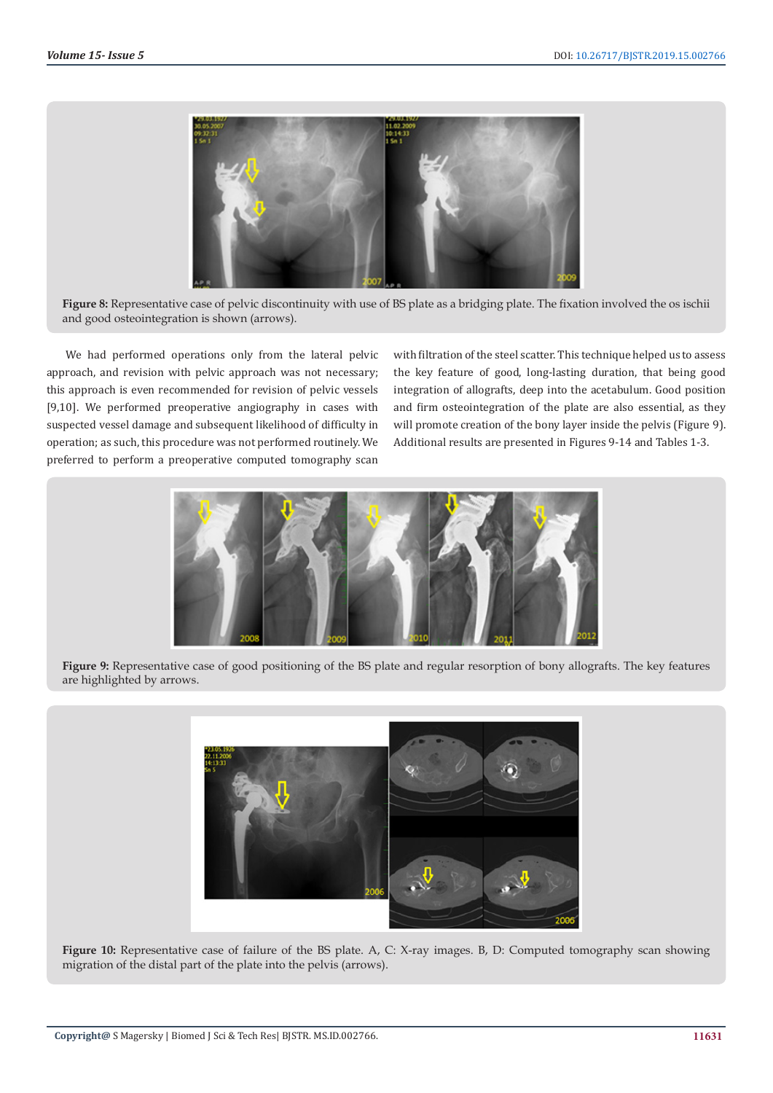

Figure 8: Representative case of pelvic discontinuity with use of BS plate as a bridging plate. The fixation involved the os ischii and good osteointegration is shown (arrows).

We had performed operations only from the lateral pelvic approach, and revision with pelvic approach was not necessary; this approach is even recommended for revision of pelvic vessels [9,10]. We performed preoperative angiography in cases with suspected vessel damage and subsequent likelihood of difficulty in operation; as such, this procedure was not performed routinely. We preferred to perform a preoperative computed tomography scan

with filtration of the steel scatter. This technique helped us to assess the key feature of good, long-lasting duration, that being good integration of allografts, deep into the acetabulum. Good position and firm osteointegration of the plate are also essential, as they will promote creation of the bony layer inside the pelvis (Figure 9). Additional results are presented in Figures 9-14 and Tables 1-3.



**Figure 9:** Representative case of good positioning of the BS plate and regular resorption of bony allografts. The key features are highlighted by arrows.



**Figure 10:** Representative case of failure of the BS plate. A, C: X-ray images. B, D: Computed tomography scan showing migration of the distal part of the plate into the pelvis (arrows).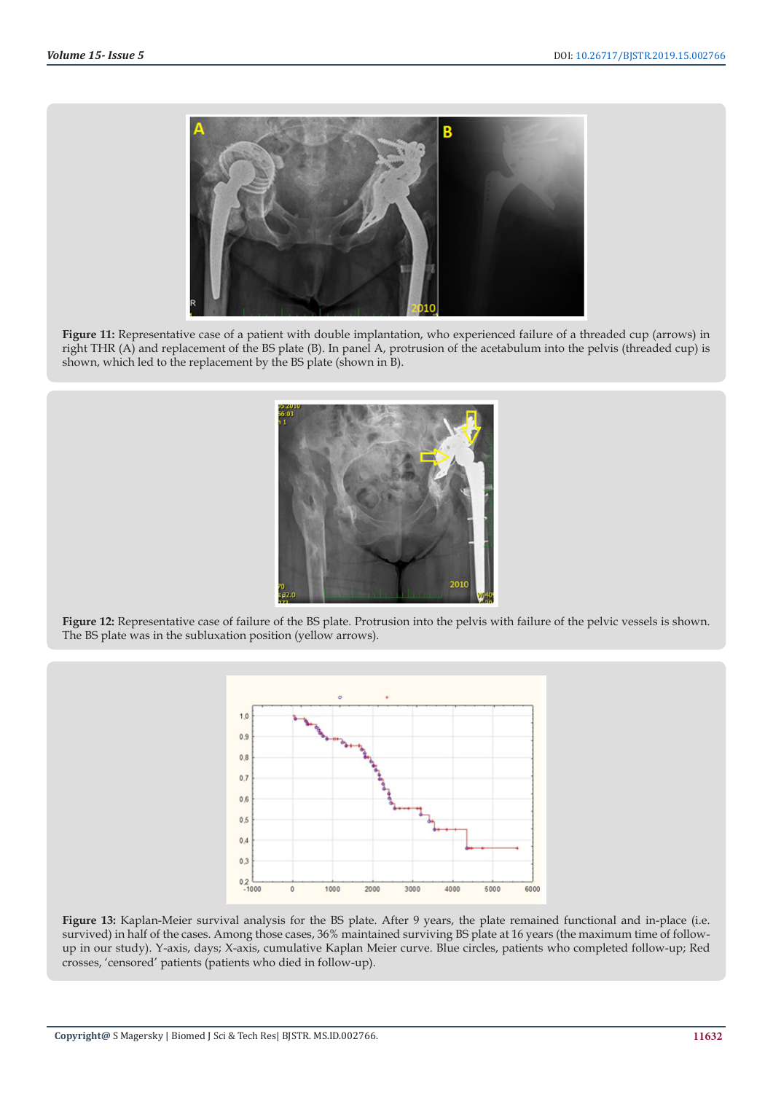

Figure 11: Representative case of a patient with double implantation, who experienced failure of a threaded cup (arrows) in right THR (A) and replacement of the BS plate (B). In panel A, protrusion of the acetabulum into the pelvis (threaded cup) is shown, which led to the replacement by the BS plate (shown in B).



Figure 12: Representative case of failure of the BS plate. Protrusion into the pelvis with failure of the pelvic vessels is shown. The BS plate was in the subluxation position (yellow arrows).



**Figure 13:** Kaplan-Meier survival analysis for the BS plate. After 9 years, the plate remained functional and in-place (i.e. survived) in half of the cases. Among those cases, 36% maintained surviving BS plate at 16 years (the maximum time of followup in our study). Y-axis, days; X-axis, cumulative Kaplan Meier curve. Blue circles, patients who completed follow-up; Red crosses, 'censored' patients (patients who died in follow-up).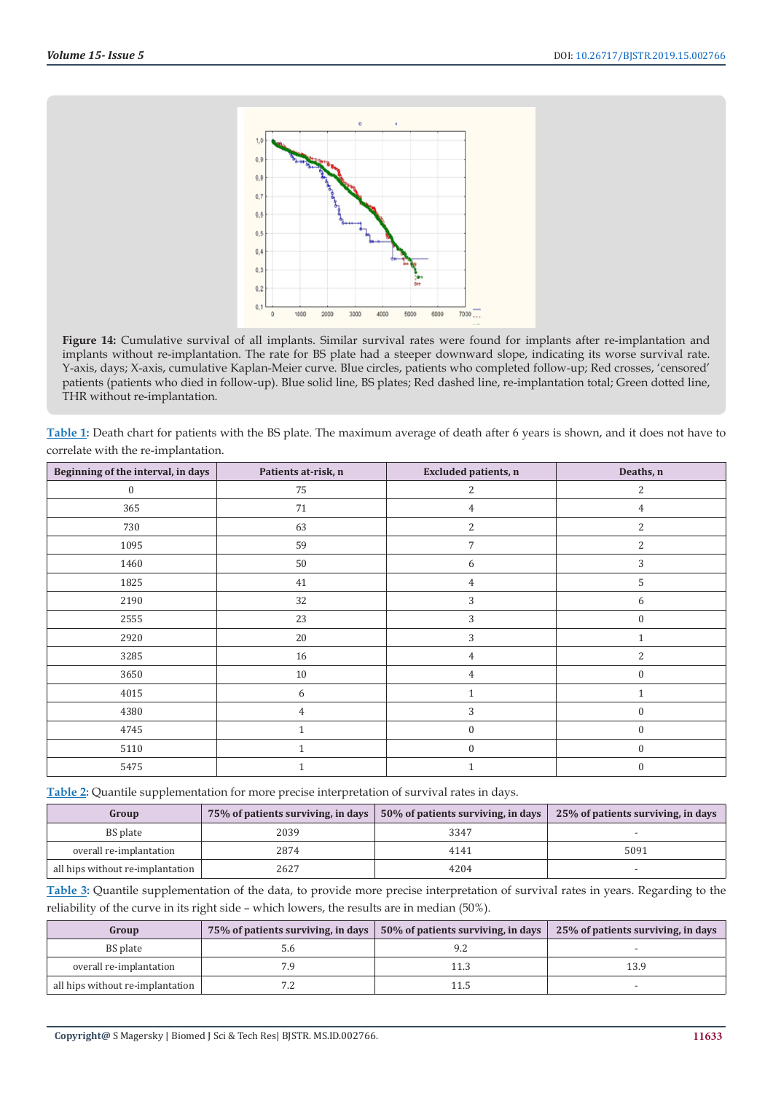

**Figure 14:** Cumulative survival of all implants. Similar survival rates were found for implants after re-implantation and implants without re-implantation. The rate for BS plate had a steeper downward slope, indicating its worse survival rate. Y-axis, days; X-axis, cumulative Kaplan-Meier curve. Blue circles, patients who completed follow-up; Red crosses, 'censored' patients (patients who died in follow-up). Blue solid line, BS plates; Red dashed line, re-implantation total; Green dotted line, THR without re-implantation.

**Table 1:** Death chart for patients with the BS plate. The maximum average of death after 6 years is shown, and it does not have to correlate with the re-implantation.

| Beginning of the interval, in days | Patients at-risk, n | Excluded patients, n | Deaths, n        |
|------------------------------------|---------------------|----------------------|------------------|
| $\mathbf{0}$                       | 75                  | $\overline{2}$       | $\overline{c}$   |
| 365                                | $71\,$              | $\overline{4}$       | $\overline{4}$   |
| 730                                | 63                  | $\mathbf{2}$         | $\overline{2}$   |
| 1095                               | 59                  | $\overline{7}$       | $\overline{2}$   |
| 1460                               | $50\,$              | 6                    | 3                |
| 1825                               | 41                  | $\overline{4}$       | 5                |
| 2190                               | 32                  | 3                    | 6                |
| 2555                               | 23                  | 3                    | $\mathbf{0}$     |
| 2920                               | 20                  | 3                    | 1                |
| 3285                               | $16\,$              | $\overline{4}$       | $\overline{c}$   |
| 3650                               | $10\,$              | $\overline{4}$       | $\mathbf{0}$     |
| 4015                               | 6                   | $\mathbf{1}$         | 1                |
| 4380                               | $\overline{4}$      | 3                    | $\boldsymbol{0}$ |
| 4745                               | $\mathbf{1}$        | $\boldsymbol{0}$     | $\boldsymbol{0}$ |
| 5110                               | $\mathbf{1}$        | $\boldsymbol{0}$     | $\mathbf{0}$     |
| 5475                               | $\mathbf{1}$        | $\mathbf{1}$         | $\mathbf{0}$     |

**Table 2:** Quantile supplementation for more precise interpretation of survival rates in days.

| Group                            | 75% of patients surviving, in days | 50% of patients surviving, in days | 25% of patients surviving, in days |
|----------------------------------|------------------------------------|------------------------------------|------------------------------------|
| BS plate                         | 2039                               | 3347                               |                                    |
| overall re-implantation          | 2874                               | 4141                               | 5091                               |
| all hips without re-implantation | 2627                               | 4204                               |                                    |

**Table 3:** Quantile supplementation of the data, to provide more precise interpretation of survival rates in years. Regarding to the reliability of the curve in its right side – which lowers, the results are in median (50%).

| Group                            | 75% of patients surviving, in days | 50% of patients surviving, in days | 25% of patients surviving, in days |
|----------------------------------|------------------------------------|------------------------------------|------------------------------------|
| BS plate                         |                                    |                                    |                                    |
| overall re-implantation          | 7.9                                |                                    | 13.9                               |
| all hips without re-implantation |                                    |                                    |                                    |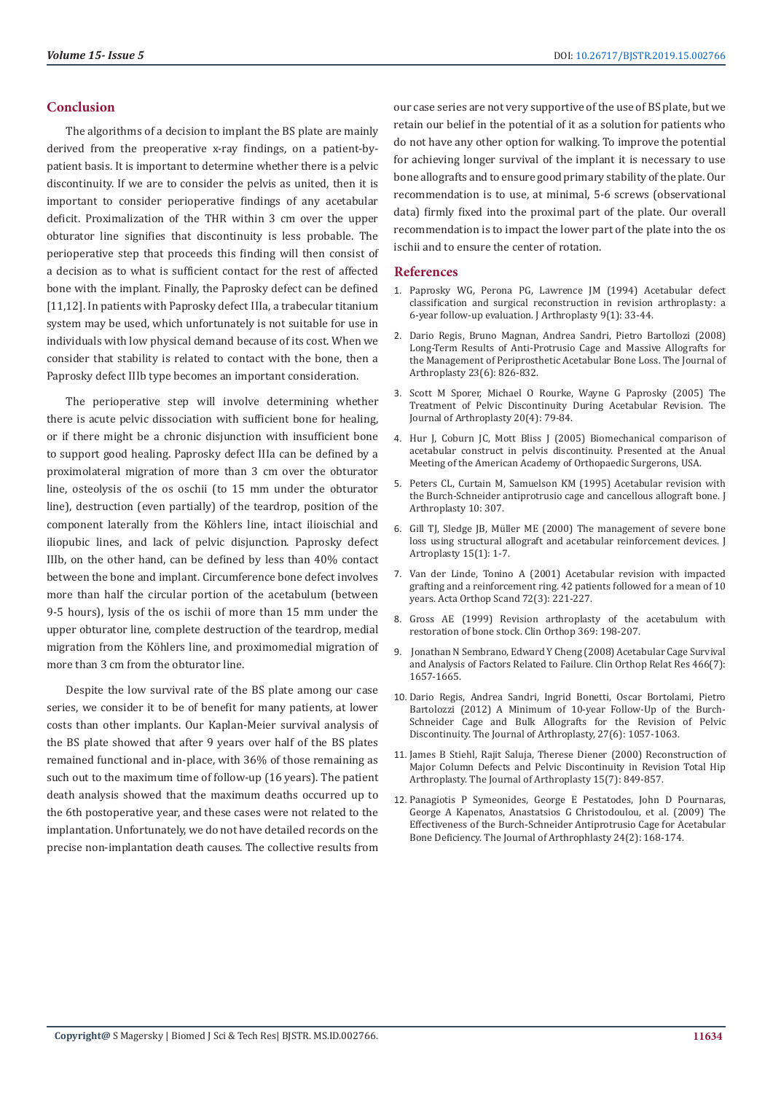#### **Conclusion**

The algorithms of a decision to implant the BS plate are mainly derived from the preoperative x-ray findings, on a patient-bypatient basis. It is important to determine whether there is a pelvic discontinuity. If we are to consider the pelvis as united, then it is important to consider perioperative findings of any acetabular deficit. Proximalization of the THR within 3 cm over the upper obturator line signifies that discontinuity is less probable. The perioperative step that proceeds this finding will then consist of a decision as to what is sufficient contact for the rest of affected bone with the implant. Finally, the Paprosky defect can be defined [11,12]. In patients with Paprosky defect IIIa, a trabecular titanium system may be used, which unfortunately is not suitable for use in individuals with low physical demand because of its cost. When we consider that stability is related to contact with the bone, then a Paprosky defect IIIb type becomes an important consideration.

The perioperative step will involve determining whether there is acute pelvic dissociation with sufficient bone for healing, or if there might be a chronic disjunction with insufficient bone to support good healing. Paprosky defect IIIa can be defined by a proximolateral migration of more than 3 cm over the obturator line, osteolysis of the os oschii (to 15 mm under the obturator line), destruction (even partially) of the teardrop, position of the component laterally from the Köhlers line, intact ilioischial and iliopubic lines, and lack of pelvic disjunction. Paprosky defect IIIb, on the other hand, can be defined by less than 40% contact between the bone and implant. Circumference bone defect involves more than half the circular portion of the acetabulum (between 9-5 hours), lysis of the os ischii of more than 15 mm under the upper obturator line, complete destruction of the teardrop, medial migration from the Köhlers line, and proximomedial migration of more than 3 cm from the obturator line.

Despite the low survival rate of the BS plate among our case series, we consider it to be of benefit for many patients, at lower costs than other implants. Our Kaplan-Meier survival analysis of the BS plate showed that after 9 years over half of the BS plates remained functional and in-place, with 36% of those remaining as such out to the maximum time of follow-up (16 years). The patient death analysis showed that the maximum deaths occurred up to the 6th postoperative year, and these cases were not related to the implantation. Unfortunately, we do not have detailed records on the precise non-implantation death causes. The collective results from our case series are not very supportive of the use of BS plate, but we retain our belief in the potential of it as a solution for patients who do not have any other option for walking. To improve the potential for achieving longer survival of the implant it is necessary to use bone allografts and to ensure good primary stability of the plate. Our recommendation is to use, at minimal, 5-6 screws (observational data) firmly fixed into the proximal part of the plate. Our overall recommendation is to impact the lower part of the plate into the os ischii and to ensure the center of rotation.

#### **References**

- 1. [Paprosky WG, Perona PG, Lawrence JM \(1994\) Acetabular defect](https://www.ncbi.nlm.nih.gov/pubmed/8163974) [classification and surgical reconstruction in revision arthroplasty: a](https://www.ncbi.nlm.nih.gov/pubmed/8163974) [6-year follow-up evaluation. J Arthroplasty 9\(1\): 33-44.](https://www.ncbi.nlm.nih.gov/pubmed/8163974)
- 2. [Dario Regis, Bruno Magnan, Andrea Sandri, Pietro Bartollozi \(2008\)](https://www.arthroplastyjournal.org/article/S0883-5403(07)00438-X/fulltext) [Long-Term Results of Anti-Protrusio Cage and Massive Allografts for](https://www.arthroplastyjournal.org/article/S0883-5403(07)00438-X/fulltext) [the Management of Periprosthetic Acetabular Bone Loss. The Journal of](https://www.arthroplastyjournal.org/article/S0883-5403(07)00438-X/fulltext) [Arthroplasty 23\(6\): 826-832.](https://www.arthroplastyjournal.org/article/S0883-5403(07)00438-X/fulltext)
- 3. [Scott M Sporer, Michael O Rourke, Wayne G Paprosky \(2005\) The](https://www.ncbi.nlm.nih.gov/pubmed/15991138) [Treatment of Pelvic Discontinuity During Acetabular Revision. The](https://www.ncbi.nlm.nih.gov/pubmed/15991138) [Journal of Arthroplasty 20\(4\): 79-84.](https://www.ncbi.nlm.nih.gov/pubmed/15991138)
- 4. Hur J, Coburn JC, Mott Bliss J (2005) Biomechanical comparison of acetabular construct in pelvis discontinuity. Presented at the Anual Meeting of the American Academy of Orthopaedic Surgerons, USA.
- 5. Peters CL, Curtain M, Samuelson KM (1995) Acetabular revision with the Burch-Schneider antiprotrusio cage and cancellous allograft bone. J Arthroplasty 10: 307.
- 6. [Gill TJ, Sledge JB, Müller ME \(2000\) The management of severe bone](https://www.ncbi.nlm.nih.gov/pubmed/10654455) [loss using structural allograft and acetabular reinforcement devices. J](https://www.ncbi.nlm.nih.gov/pubmed/10654455) [Artroplasty 15\(1\): 1-7.](https://www.ncbi.nlm.nih.gov/pubmed/10654455)
- 7. [Van der Linde, Tonino A \(2001\) Acetabular revision with impacted](https://www.ncbi.nlm.nih.gov/pubmed/11480594) [grafting and a reinforcement ring. 42 patients followed for a mean of 10](https://www.ncbi.nlm.nih.gov/pubmed/11480594) [years. Acta Orthop Scand 72\(3\): 221-227.](https://www.ncbi.nlm.nih.gov/pubmed/11480594)
- 8. [Gross AE \(1999\) Revision arthroplasty of the acetabulum with](https://www.ncbi.nlm.nih.gov/pubmed/10611875) [restoration of bone stock. Clin Orthop 369: 198-207.](https://www.ncbi.nlm.nih.gov/pubmed/10611875)
- 9. [Jonathan N Sembrano, Edward Y Cheng \(2008\) Acetabular Cage Survival](https://www.ncbi.nlm.nih.gov/pmc/articles/PMC2505268/) [and Analysis of Factors Related to Failure. Clin Orthop Relat Res 466\(7\):](https://www.ncbi.nlm.nih.gov/pmc/articles/PMC2505268/) [1657-1665.](https://www.ncbi.nlm.nih.gov/pmc/articles/PMC2505268/)
- 10. [Dario Regis, Andrea Sandri, Ingrid Bonetti, Oscar Bortolami, Pietro](https://www.ncbi.nlm.nih.gov/pubmed/22397857) [Bartolozzi \(2012\) A Minimum of 10-year Follow-Up of the Burch-](https://www.ncbi.nlm.nih.gov/pubmed/22397857)[Schneider Cage and Bulk Allografts for the Revision of Pelvic](https://www.ncbi.nlm.nih.gov/pubmed/22397857) [Discontinuity. The Journal of Arthroplasty, 27\(6\): 1057-1063.](https://www.ncbi.nlm.nih.gov/pubmed/22397857)
- 11. [James B Stiehl, Rajit Saluja, Therese Diener \(2000\) Reconstruction of](https://www.ncbi.nlm.nih.gov/pubmed/11061444) [Major Column Defects and Pelvic Discontinuity in Revision Total Hip](https://www.ncbi.nlm.nih.gov/pubmed/11061444) [Arthroplasty. The Journal of Arthroplasty 15\(7\): 849-857.](https://www.ncbi.nlm.nih.gov/pubmed/11061444)
- 12. [Panagiotis P Symeonides, George E Pestatodes, John D Pournaras,](https://www.ncbi.nlm.nih.gov/pubmed/18534474) [George A Kapenatos, Anastatsios G Christodoulou, et al. \(2009\) The](https://www.ncbi.nlm.nih.gov/pubmed/18534474) [Effectiveness of the Burch-Schneider Antiprotrusio Cage for Acetabular](https://www.ncbi.nlm.nih.gov/pubmed/18534474) [Bone Deficiency. The Journal of Arthrophlasty 24\(2\): 168-174.](https://www.ncbi.nlm.nih.gov/pubmed/18534474)